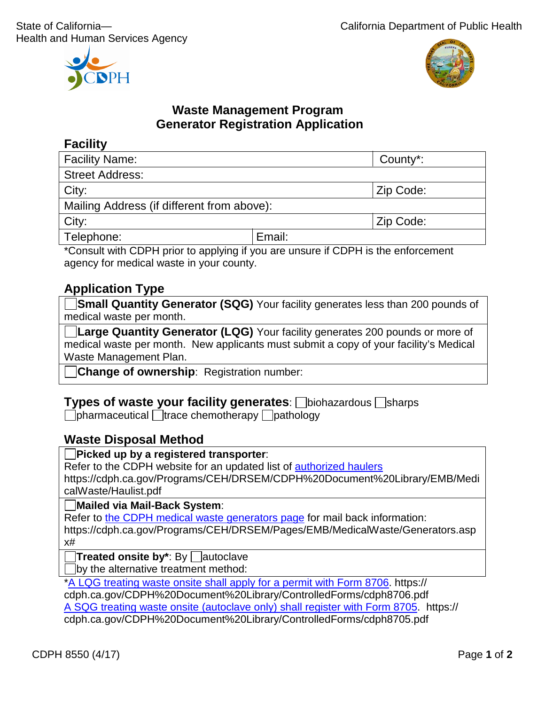



# **Waste Management Program Generator Registration Application**

## **Facility**

| <b>Facility Name:</b>                      |        | County*:  |  |
|--------------------------------------------|--------|-----------|--|
| <b>Street Address:</b>                     |        |           |  |
| City:                                      |        | Zip Code: |  |
| Mailing Address (if different from above): |        |           |  |
| City:                                      |        | Zip Code: |  |
| Telephone:                                 | Email: |           |  |

\*Consult with CDPH prior to applying if you are unsure if CDPH is the enforcement agency for medical waste in your county.

# **Application Type**

**Small Quantity Generator (SQG)** Your facility generates less than 200 pounds of medical waste per month.

**Large Quantity Generator (LQG)** Your facility generates 200 pounds or more of medical waste per month. New applicants must submit a copy of your facility's Medical Waste Management Plan.

**Change of ownership**: Registration number:

#### **Types of waste your facility generates**:  $\Box$ biohazardous  $\Box$ sharps

 $\Box$ pharmaceutical  $\Box$ trace chemotherapy  $\Box$ pathology

### **Waste Disposal Method**

#### **Picked up by a registered transporter**:

Refer to the CDPH website for an updated list of [authorized haulers](https://www.cdph.ca.gov/Programs/CEH/DRSEM/CDPH%20Document%20Library/EMB/MedicalWaste/Haulist.pdf)

https://cdph.ca.gov/Programs/CEH/DRSEM/CDPH%20Document%20Library/EMB/Medi calWaste/Haulist.pdf

**Mailed via Mail-Back System**:

Refer to [the CDPH medical waste generators page](https://www.cdph.ca.gov/Programs/CEH/DRSEM/Pages/EMB/MedicalWaste/Generators.aspx) for mail back information:

https://cdph.ca.gov/Programs/CEH/DRSEM/Pages/EMB/MedicalWaste/Generators.asp x#

**Treated onsite by**\*: By  $\Box$  autoclave

by the alternative treatment method:

[\\*A LQG treating waste onsite shall apply for a permit with Form 8706.](https://www.cdph.ca.gov/CDPH%20Document%20Library/ControlledForms/cdph8706.pdf) https://

cdph.ca.gov/CDPH%20Document%20Library/ControlledForms/cdph8706.pdf [A SQG treating waste onsite \(autoclave only\) shall register with Form 8705.](https://www.cdph.ca.gov/CDPH%20Document%20Library/ControlledForms/cdph8705.pdf) https:// cdph.ca.gov/CDPH%20Document%20Library/ControlledForms/cdph8705.pdf